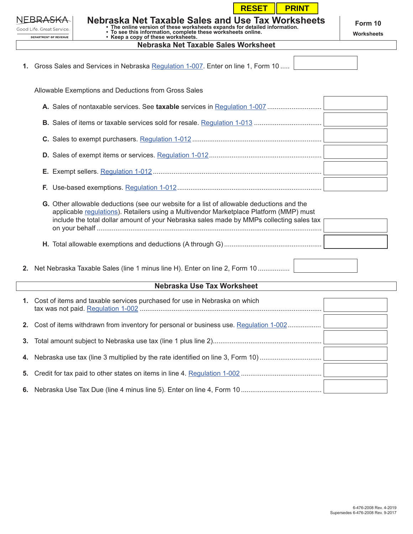|                                                    |  | <b>RESET</b><br><b>PRINT</b>                                                                                                                                                                                                                                                    |                       |  |  |  |  |
|----------------------------------------------------|--|---------------------------------------------------------------------------------------------------------------------------------------------------------------------------------------------------------------------------------------------------------------------------------|-----------------------|--|--|--|--|
| Good Life. Great Service.<br>DEPARTMENT OF REVENUE |  | Nebraska Net Taxable Sales and Use Tax Worksheets<br>• The online version of these worksheets expands for detailed information.<br>• To see this information, complete these worksheets online.<br>• Keep a copy of these worksheets.                                           | Form 10<br>Worksheets |  |  |  |  |
| Nebraska Net Taxable Sales Worksheet               |  |                                                                                                                                                                                                                                                                                 |                       |  |  |  |  |
|                                                    |  | 1. Gross Sales and Services in Nebraska Regulation 1-007. Enter on line 1, Form 10                                                                                                                                                                                              |                       |  |  |  |  |
|                                                    |  | Allowable Exemptions and Deductions from Gross Sales                                                                                                                                                                                                                            |                       |  |  |  |  |
|                                                    |  |                                                                                                                                                                                                                                                                                 |                       |  |  |  |  |
|                                                    |  |                                                                                                                                                                                                                                                                                 |                       |  |  |  |  |
|                                                    |  |                                                                                                                                                                                                                                                                                 |                       |  |  |  |  |
|                                                    |  |                                                                                                                                                                                                                                                                                 |                       |  |  |  |  |
|                                                    |  |                                                                                                                                                                                                                                                                                 |                       |  |  |  |  |
|                                                    |  |                                                                                                                                                                                                                                                                                 |                       |  |  |  |  |
|                                                    |  | G. Other allowable deductions (see our website for a list of allowable deductions and the<br>applicable regulations). Retailers using a Multivendor Marketplace Platform (MMP) must<br>include the total dollar amount of your Nebraska sales made by MMPs collecting sales tax |                       |  |  |  |  |
|                                                    |  |                                                                                                                                                                                                                                                                                 |                       |  |  |  |  |
|                                                    |  | 2. Net Nebraska Taxable Sales (line 1 minus line H). Enter on line 2, Form 10                                                                                                                                                                                                   |                       |  |  |  |  |
|                                                    |  | Nebraska Use Tax Worksheet                                                                                                                                                                                                                                                      |                       |  |  |  |  |
|                                                    |  | 1. Cost of items and taxable services purchased for use in Nebraska on which                                                                                                                                                                                                    |                       |  |  |  |  |
| 2.                                                 |  | Cost of items withdrawn from inventory for personal or business use. Regulation 1-002                                                                                                                                                                                           |                       |  |  |  |  |
| 3.                                                 |  |                                                                                                                                                                                                                                                                                 |                       |  |  |  |  |

**4.** Nebraska use tax (line 3 multiplied by the rate identified on line 3, Form 10) ..............................

**5.** Credit for tax paid to other states on items in line 4. [Regulation 1-002](https://revenue.nebraska.gov/sites/revenue.nebraska.gov/files/doc/legal/regs/1-002.pdf) ...........................................

**6.** Nebraska Use Tax Due (line 4 minus line 5). Enter on line 4, Form 10 ...........................................

|                                   | 6-476-2008 Rev. 4-2019 |  |
|-----------------------------------|------------------------|--|
| Supersedes 6-476-2008 Rev. 9-2017 |                        |  |